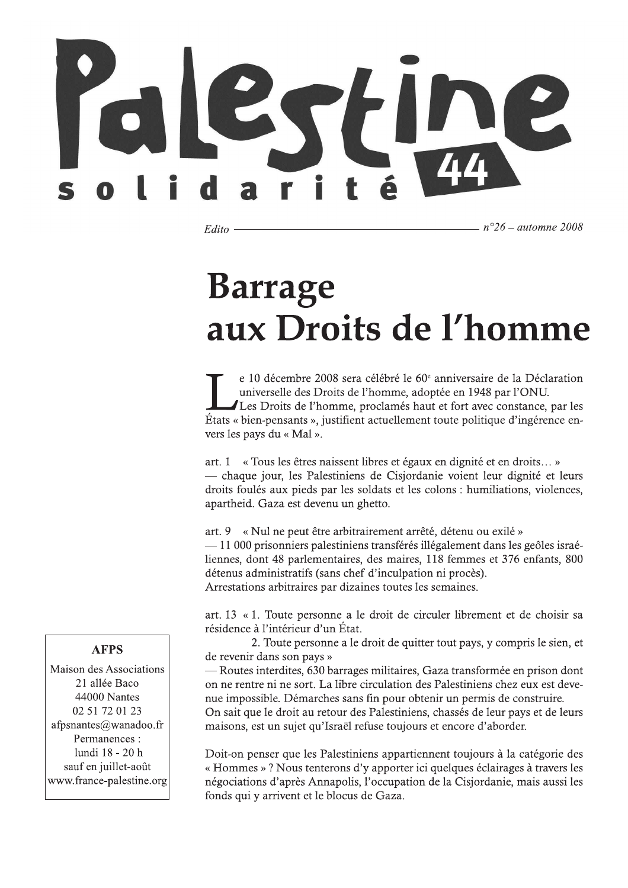Edito

 $n^{\circ}26$  – automne 2008

## **Barrage** aux Droits de l'homme

e 10 décembre 2008 sera célébré le  $60^\circ$  anniversaire de la Déclaration universelle des Droits de l'homme, adoptée en 1948 par l'ONU. Les Droits de l'homme, proclamés haut et fort avec constance, par les Etats « bien-pensants », justifient actuellement toute politique d'ingérence envers les pays du « Mal ».

art. 1 « Tous les êtres naissent libres et égaux en dignité et en droits... » — chaque jour, les Palestiniens de Cisjordanie voient leur dignité et leurs droits foulés aux pieds par les soldats et les colons : humiliations, violences, apartheid. Gaza est devenu un ghetto.

art. 9 « Nul ne peut être arbitrairement arrêté, détenu ou exilé » -11 000 prisonniers palestiniens transférés illégalement dans les geôles israéliennes, dont 48 parlementaires, des maires, 118 femmes et 376 enfants, 800 détenus administratifs (sans chef d'inculpation ni procès). Arrestations arbitraires par dizaines toutes les semaines.

art. 13 « 1. Toute personne a le droit de circuler librement et de choisir sa résidence à l'intérieur d'un État.

2. Toute personne a le droit de quitter tout pays, y compris le sien, et de revenir dans son pays »

— Routes interdites, 630 barrages militaires, Gaza transformée en prison dont on ne rentre ni ne sort. La libre circulation des Palestiniens chez eux est devenue impossible. Démarches sans fin pour obtenir un permis de construire. On sait que le droit au retour des Palestiniens, chassés de leur pays et de leurs maisons, est un sujet qu'Israël refuse toujours et encore d'aborder.

Doit-on penser que les Palestiniens appartiennent toujours à la catégorie des « Hommes »? Nous tenterons d'y apporter ici quelques éclairages à travers les négociations d'après Annapolis, l'occupation de la Cisjordanie, mais aussi les fonds qui y arrivent et le blocus de Gaza.

### **AFPS**

Maison des Associations 21 allée Baco 44000 Nantes 02 51 72 01 23 afpsnantes@wanadoo.fr Permanences : lundi 18 - 20 h sauf en juillet-août www.france-palestine.org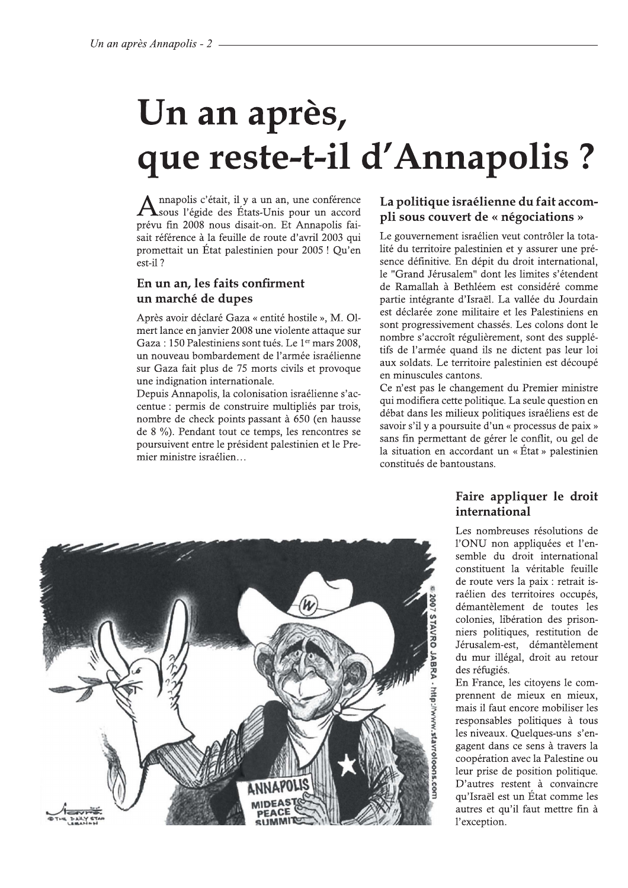# Un an après, que reste-t-il d'Annapolis ?

Annapolis c'était, il y a un an, une conférence<br>Asous l'égide des États-Unis pour un accord prévu fin 2008 nous disait-on. Et Annapolis faisait référence à la feuille de route d'avril 2003 qui promettait un État palestinien pour 2005 ! Qu'en est-il?

### En un an. les faits confirment un marché de dupes

Après avoir déclaré Gaza « entité hostile », M. Olmert lance en janvier 2008 une violente attaque sur Gaza : 150 Palestiniens sont tués. Le 1<sup>er</sup> mars 2008, un nouveau bombardement de l'armée israélienne sur Gaza fait plus de 75 morts civils et provoque une indignation internationale.

Depuis Annapolis, la colonisation israélienne s'accentue : permis de construire multipliés par trois, nombre de check points passant à 650 (en hausse de 8 %). Pendant tout ce temps, les rencontres se poursuivent entre le président palestinien et le Premier ministre israélien...

### La politique israélienne du fait accompli sous couvert de « négociations »

Le gouvernement israélien veut contrôler la totalité du territoire palestinien et y assurer une présence définitive. En dépit du droit international. le "Grand Jérusalem" dont les limites s'étendent de Ramallah à Bethléem est considéré comme partie intégrante d'Israël. La vallée du Jourdain est déclarée zone militaire et les Palestiniens en sont progressivement chassés. Les colons dont le nombre s'accroît régulièrement, sont des supplétifs de l'armée quand ils ne dictent pas leur loi aux soldats. Le territoire palestinien est découpé en minuscules cantons.

Ce n'est pas le changement du Premier ministre qui modifiera cette politique. La seule question en débat dans les milieux politiques israéliens est de savoir s'il y a poursuite d'un « processus de paix » sans fin permettant de gérer le conflit, ou gel de la situation en accordant un « État » palestinien constitués de bantoustans.

### Faire appliquer le droit international

Les nombreuses résolutions de l'ONU non appliquées et l'ensemble du droit international constituent la véritable feuille de route vers la paix : retrait israélien des territoires occupés. démantèlement de toutes les colonies, libération des prisonniers politiques, restitution de Jérusalem-est, démantèlement du mur illégal, droit au retour des réfugiés.

En France, les citoyens le comprennent de mieux en mieux, mais il faut encore mobiliser les responsables politiques à tous les niveaux. Quelques-uns s'engagent dans ce sens à travers la coopération avec la Palestine ou leur prise de position politique. D'autres restent à convaincre qu'Israël est un État comme les autres et qu'il faut mettre fin à l'exception.

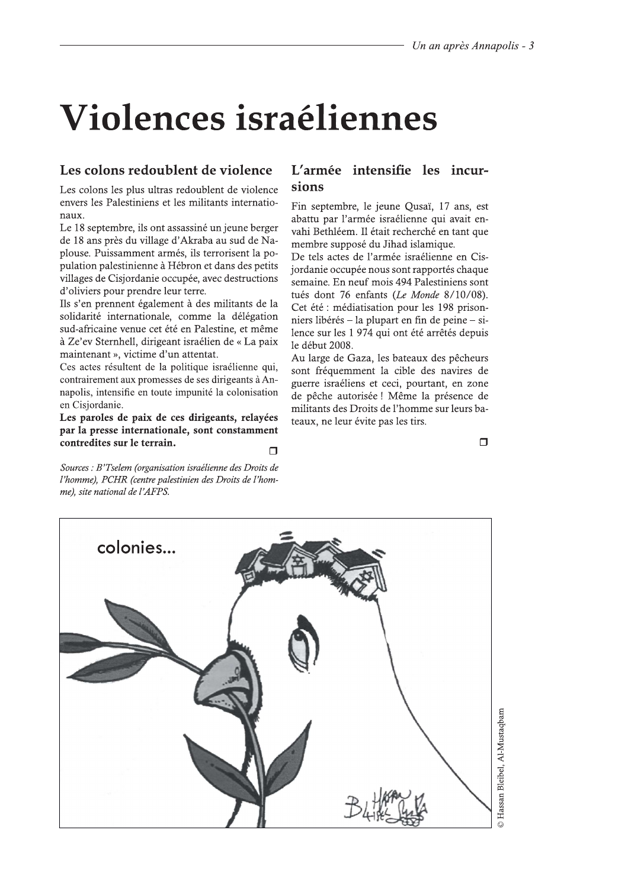## Violences israéliennes

### Les colons redoublent de violence

Les colons les plus ultras redoublent de violence envers les Palestiniens et les militants internationaux.

Le 18 septembre, ils ont assassiné un jeune berger de 18 ans près du village d'Akraba au sud de Naplouse. Puissamment armés, ils terrorisent la population palestinienne à Hébron et dans des petits villages de Cisjordanie occupée, avec destructions d'oliviers pour prendre leur terre.

Ils s'en prennent également à des militants de la solidarité internationale, comme la délégation sud-africaine venue cet été en Palestine, et même à Ze'ev Sternhell, dirigeant israélien de « La paix maintenant », victime d'un attentat.

Ces actes résultent de la politique israélienne qui, contrairement aux promesses de ses dirigeants à Annapolis, intensifie en toute impunité la colonisation en Cisiordanie.

Les paroles de paix de ces dirigeants, relayées par la presse internationale, sont constamment contredites sur le terrain.  $\Box$ 

Sources : B'Tselem (organisation israélienne des Droits de l'homme), PCHR (centre palestinien des Droits de l'homme), site national de l'AFPS.

### L'armée intensifie les incursions

Fin septembre, le jeune Qusaï, 17 ans, est abattu par l'armée israélienne qui avait envahi Bethléem. Il était recherché en tant que membre supposé du Jihad islamique.

De tels actes de l'armée israélienne en Cisjordanie occupée nous sont rapportés chaque semaine. En neuf mois 494 Palestiniens sont tués dont 76 enfants (Le Monde 8/10/08). Cet été : médiatisation pour les 198 prisonniers libérés – la plupart en fin de peine – silence sur les 1 974 qui ont été arrêtés depuis le début 2008.

Au large de Gaza, les bateaux des pêcheurs sont fréquemment la cible des navires de guerre israéliens et ceci, pourtant, en zone de pêche autorisée ! Même la présence de militants des Droits de l'homme sur leurs bateaux, ne leur évite pas les tirs.

 $\Box$ 

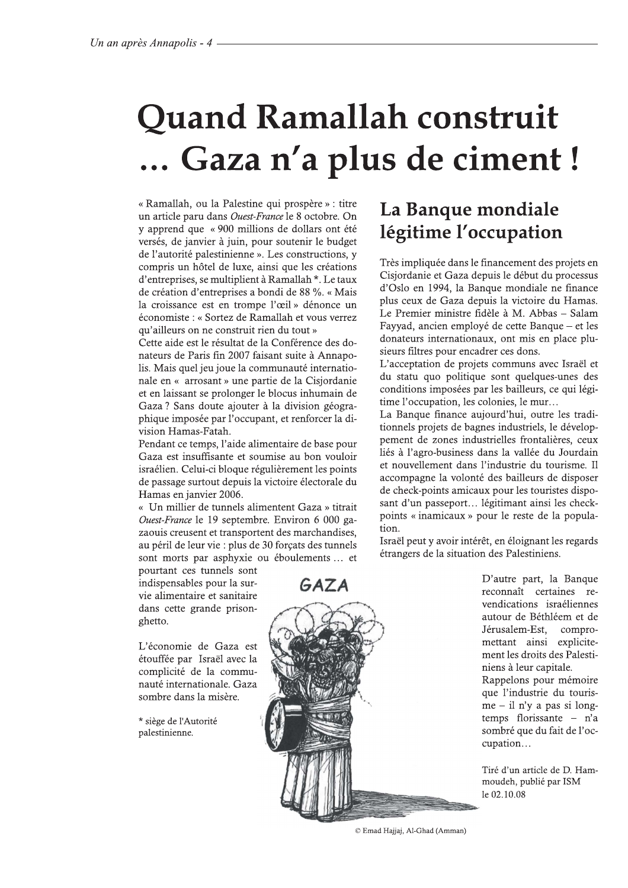## **Quand Ramallah construit** ... Gaza n'a plus de ciment !

« Ramallah, ou la Palestine qui prospère » : titre un article paru dans *Ouest-France* le 8 octobre. On y apprend que « 900 millions de dollars ont été versés, de janvier à juin, pour soutenir le budget de l'autorité palestinienne ». Les constructions, y compris un hôtel de luxe, ainsi que les créations d'entreprises, se multiplient à Ramallah \*. Le taux de création d'entreprises a bondi de 88 %. « Mais la croissance est en trompe l'œil » dénonce un économiste : « Sortez de Ramallah et vous verrez qu'ailleurs on ne construit rien du tout »

Cette aide est le résultat de la Conférence des donateurs de Paris fin 2007 faisant suite à Annapolis. Mais quel jeu joue la communauté internationale en « arrosant » une partie de la Cisjordanie et en laissant se prolonger le blocus inhumain de Gaza? Sans doute ajouter à la division géographique imposée par l'occupant, et renforcer la division Hamas-Fatah.

Pendant ce temps, l'aide alimentaire de base pour Gaza est insuffisante et soumise au bon vouloir israélien. Celui-ci bloque régulièrement les points de passage surtout depuis la victoire électorale du Hamas en janvier 2006.

« Un millier de tunnels alimentent Gaza » titrait Ouest-France le 19 septembre. Environ 6 000 gazaouis creusent et transportent des marchandises, au péril de leur vie : plus de 30 forçats des tunnels sont morts par asphyxie ou éboulements ... et

pourtant ces tunnels sont indispensables pour la survie alimentaire et sanitaire dans cette grande prisonghetto.

L'économie de Gaza est étouffée par Israël avec la complicité de la communauté internationale. Gaza sombre dans la misère.

\* siège de l'Autorité palestinienne.

### La Banque mondiale légitime l'occupation

Très impliquée dans le financement des projets en Cisiordanie et Gaza depuis le début du processus d'Oslo en 1994, la Banque mondiale ne finance plus ceux de Gaza depuis la victoire du Hamas. Le Premier ministre fidèle à M. Abbas - Salam Fayyad, ancien employé de cette Banque – et les donateurs internationaux, ont mis en place plusieurs filtres pour encadrer ces dons.

L'acceptation de projets communs avec Israël et du statu quo politique sont quelques-unes des conditions imposées par les bailleurs, ce qui légitime l'occupation, les colonies, le mur...

La Banque finance aujourd'hui, outre les traditionnels projets de bagnes industriels, le développement de zones industrielles frontalières, ceux liés à l'agro-business dans la vallée du Jourdain et nouvellement dans l'industrie du tourisme. Il accompagne la volonté des bailleurs de disposer de check-points amicaux pour les touristes disposant d'un passeport... légitimant ainsi les checkpoints « inamicaux » pour le reste de la population.

Israël peut y avoir intérêt, en éloignant les regards étrangers de la situation des Palestiniens.

GAZA



D'autre part, la Banque reconnaît certaines revendications israéliennes autour de Béthléem et de Jérusalem-Est, compromettant ainsi explicitement les droits des Palestiniens à leur capitale. Rappelons pour mémoire que l'industrie du touris $me - il n'y a pas si long$ temps florissante  $-$  n'a sombré que du fait de l'occupation...

Tiré d'un article de D. Hammoudeh, publié par ISM le 02.10.08

© Emad Hajjaj, Al-Ghad (Amman)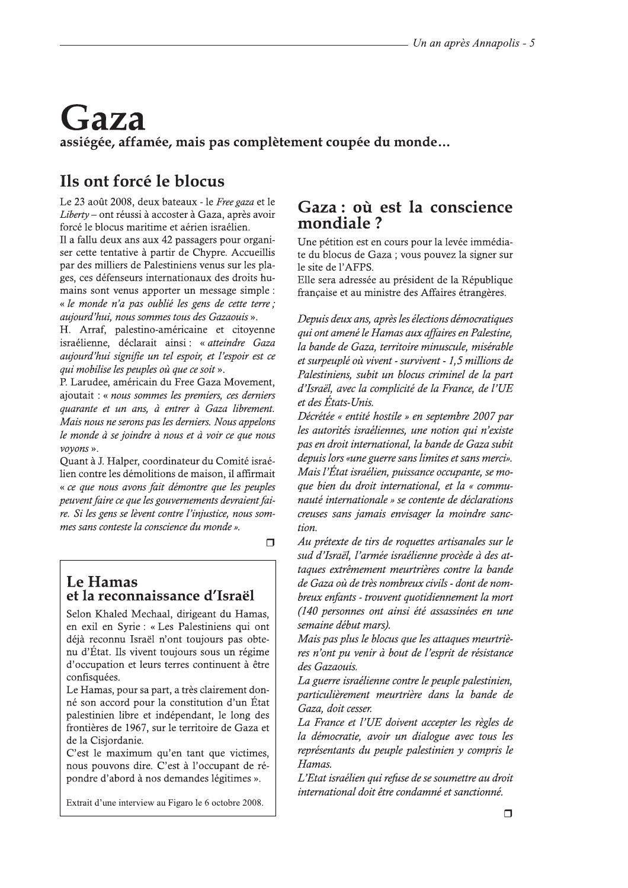## Gaza assiégée, affamée, mais pas complètement coupée du monde...

### Ils ont forcé le blocus

Le 23 août 2008, deux bateaux - le Free gaza et le Liberty – ont réussi à accoster à Gaza, après avoir forcé le blocus maritime et aérien israélien.

Il a fallu deux ans aux 42 passagers pour organiser cette tentative à partir de Chypre. Accueillis par des milliers de Palestiniens venus sur les plages, ces défenseurs internationaux des droits humains sont venus apporter un message simple : « le monde n'a pas oublié les gens de cette terre ; aujourd'hui, nous sommes tous des Gazaouis ».

H. Arraf, palestino-américaine et citoyenne israélienne, déclarait ainsi : « atteindre Gaza aujourd'hui signifie un tel espoir, et l'espoir est ce qui mobilise les peuples où que ce soit ».

P. Larudee, américain du Free Gaza Movement, ajoutait : « nous sommes les premiers, ces derniers quarante et un ans, à entrer à Gaza librement. Mais nous ne serons pas les derniers. Nous appelons le monde à se joindre à nous et à voir ce que nous voyons ».

Quant à J. Halper, coordinateur du Comité israélien contre les démolitions de maison, il affirmait « ce que nous avons fait démontre que les peuples peuvent faire ce que les gouvernements devraient faire. Si les gens se lèvent contre l'injustice, nous sommes sans conteste la conscience du monde ».

 $\Box$ 

### Le Hamas et la reconnaissance d'Israël

Selon Khaled Mechaal, dirigeant du Hamas, en exil en Syrie : « Les Palestiniens qui ont déjà reconnu Israël n'ont toujours pas obtenu d'État. Ils vivent toujours sous un régime d'occupation et leurs terres continuent à être confisquées.

Le Hamas, pour sa part, a très clairement donné son accord pour la constitution d'un État palestinien libre et indépendant, le long des frontières de 1967, sur le territoire de Gaza et de la Cisjordanie.

C'est le maximum qu'en tant que victimes, nous pouvons dire. C'est à l'occupant de répondre d'abord à nos demandes légitimes ».

Extrait d'une interview au Figaro le 6 octobre 2008.

### Gaza : où est la conscience mondiale?

Une pétition est en cours pour la levée immédiate du blocus de Gaza ; vous pouvez la signer sur le site de l'AFPS.

Elle sera adressée au président de la République française et au ministre des Affaires étrangères.

Depuis deux ans, après les élections démocratiques qui ont amené le Hamas aux affaires en Palestine, la bande de Gaza, territoire minuscule, misérable et surpeuplé où vivent - survivent - 1,5 millions de Palestiniens, subit un blocus criminel de la part d'Israël, avec la complicité de la France, de l'UE et des États-Unis.

Décrétée « entité hostile » en septembre 2007 par les autorités israéliennes, une notion qui n'existe pas en droit international, la bande de Gaza subit depuis lors «une guerre sans limites et sans merci». Mais l'État israélien, puissance occupante, se moque bien du droit international, et la « communauté internationale » se contente de déclarations creuses sans jamais envisager la moindre sanction.

Au prétexte de tirs de roquettes artisanales sur le sud d'Israël, l'armée israélienne procède à des attaques extrêmement meurtrières contre la bande de Gaza où de très nombreux civils - dont de nombreux enfants - trouvent quotidiennement la mort (140 personnes ont ainsi été assassinées en une semaine début mars).

Mais pas plus le blocus que les attaques meurtrières n'ont pu venir à bout de l'esprit de résistance des Gazaouis.

La guerre israélienne contre le peuple palestinien, particulièrement meurtrière dans la bande de Gaza, doit cesser.

La France et l'UE doivent accepter les règles de la démocratie, avoir un dialogue avec tous les représentants du peuple palestinien y compris le Hamas.

L'Etat israélien qui refuse de se soumettre au droit international doit être condamné et sanctionné.